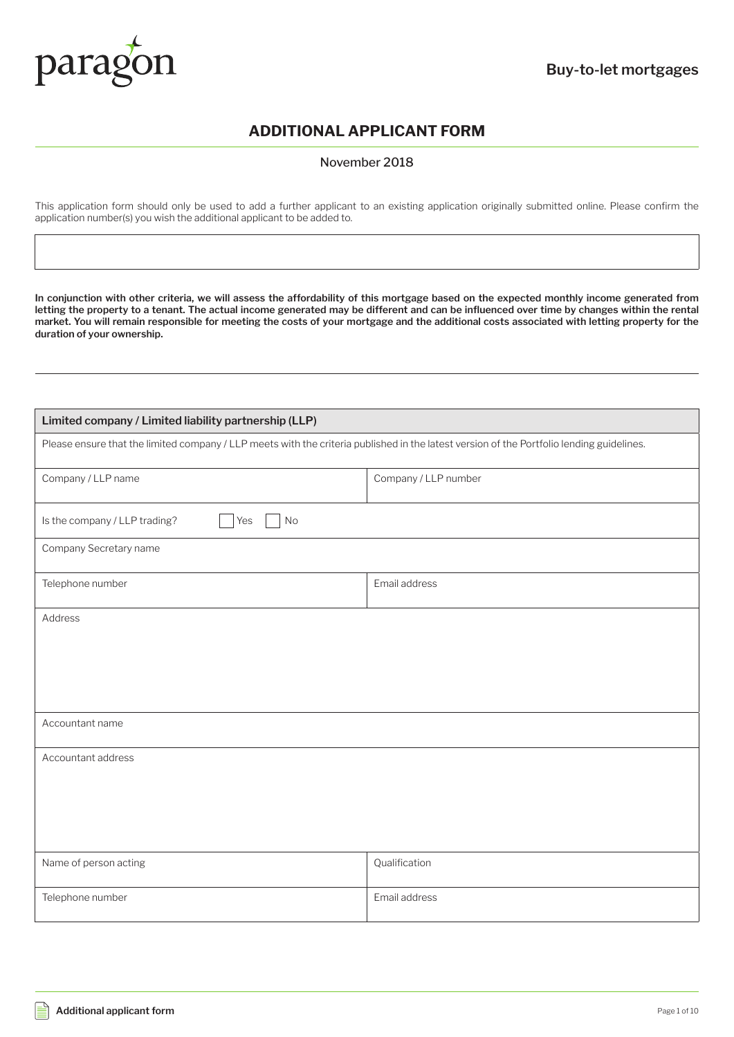

### **ADDITIONAL APPLICANT FORM**

November 2018

This application form should only be used to add a further applicant to an existing application originally submitted online. Please confirm the application number(s) you wish the additional applicant to be added to.

**In conjunction with other criteria, we will assess the affordability of this mortgage based on the expected monthly income generated from**  letting the property to a tenant. The actual income generated may be different and can be influenced over time by changes within the rental **market. You will remain responsible for meeting the costs of your mortgage and the additional costs associated with letting property for the duration of your ownership.**

| Limited company / Limited liability partnership (LLP)                                                                                     |                      |  |
|-------------------------------------------------------------------------------------------------------------------------------------------|----------------------|--|
| Please ensure that the limited company / LLP meets with the criteria published in the latest version of the Portfolio lending guidelines. |                      |  |
| Company / LLP name                                                                                                                        | Company / LLP number |  |
| Is the company / LLP trading?<br>No<br>Yes                                                                                                |                      |  |
| Company Secretary name                                                                                                                    |                      |  |
| Telephone number                                                                                                                          | Email address        |  |
| Address                                                                                                                                   |                      |  |
| Accountant name                                                                                                                           |                      |  |
| Accountant address                                                                                                                        |                      |  |
| Name of person acting                                                                                                                     | Qualification        |  |
| Telephone number                                                                                                                          | Email address        |  |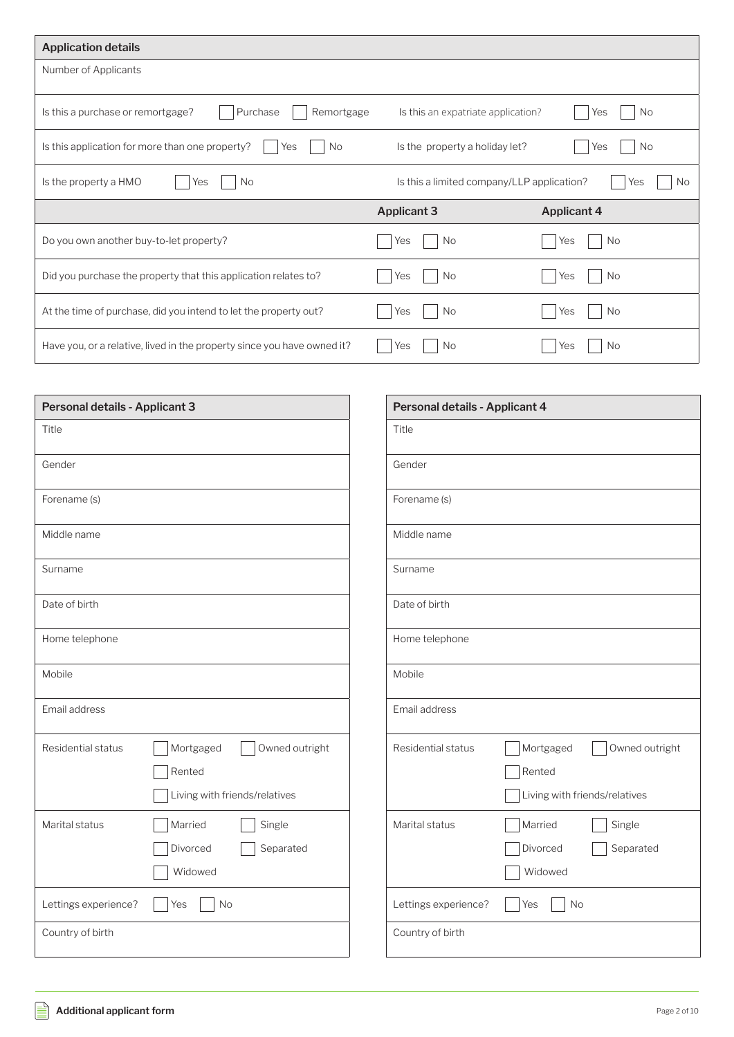| <b>Application details</b>                                              |                                            |                    |
|-------------------------------------------------------------------------|--------------------------------------------|--------------------|
| Number of Applicants                                                    |                                            |                    |
| Purchase<br>Remortgage<br>Is this a purchase or remortgage?             | Is this an expatriate application?         | No<br>Yes          |
| Is this application for more than one property?<br><b>No</b><br>Yes     | Is the property a holiday let?             | <b>No</b><br>Yes   |
| Is the property a HMO<br><b>No</b><br>Yes                               | Is this a limited company/LLP application? | <b>No</b><br>Yes   |
|                                                                         | <b>Applicant 3</b>                         | <b>Applicant 4</b> |
| Do you own another buy-to-let property?                                 | No<br>Yes                                  | No<br>Yes          |
| Did you purchase the property that this application relates to?         | No<br>Yes                                  | No<br>Yes          |
| At the time of purchase, did you intend to let the property out?        | No.<br>Yes                                 | No.<br>Yes         |
| Have you, or a relative, lived in the property since you have owned it? | No<br>Yes                                  | No<br>Yes          |

| Personal details - Applicant 3                                                               | Personal details - Applicant 4                                                               |
|----------------------------------------------------------------------------------------------|----------------------------------------------------------------------------------------------|
| Title                                                                                        | Title                                                                                        |
| Gender                                                                                       | Gender                                                                                       |
| Forename (s)                                                                                 | Forename (s)                                                                                 |
| Middle name                                                                                  | Middle name                                                                                  |
| Surname                                                                                      | Surname                                                                                      |
| Date of birth                                                                                | Date of birth                                                                                |
| Home telephone                                                                               | Home telephone                                                                               |
| Mobile                                                                                       | Mobile                                                                                       |
| Email address                                                                                | Email address                                                                                |
| Residential status<br>Owned outright<br>Mortgaged<br>Rented<br>Living with friends/relatives | Residential status<br>Owned outright<br>Mortgaged<br>Rented<br>Living with friends/relatives |
| Married<br>Single<br>Marital status<br>Divorced<br>Separated<br>Widowed                      | Marital status<br>Married<br>Single<br>Divorced<br>Separated<br>Widowed                      |
| Lettings experience?<br>No<br>Yes                                                            | Lettings experience?<br>No<br>Yes                                                            |
| Country of birth                                                                             | Country of birth                                                                             |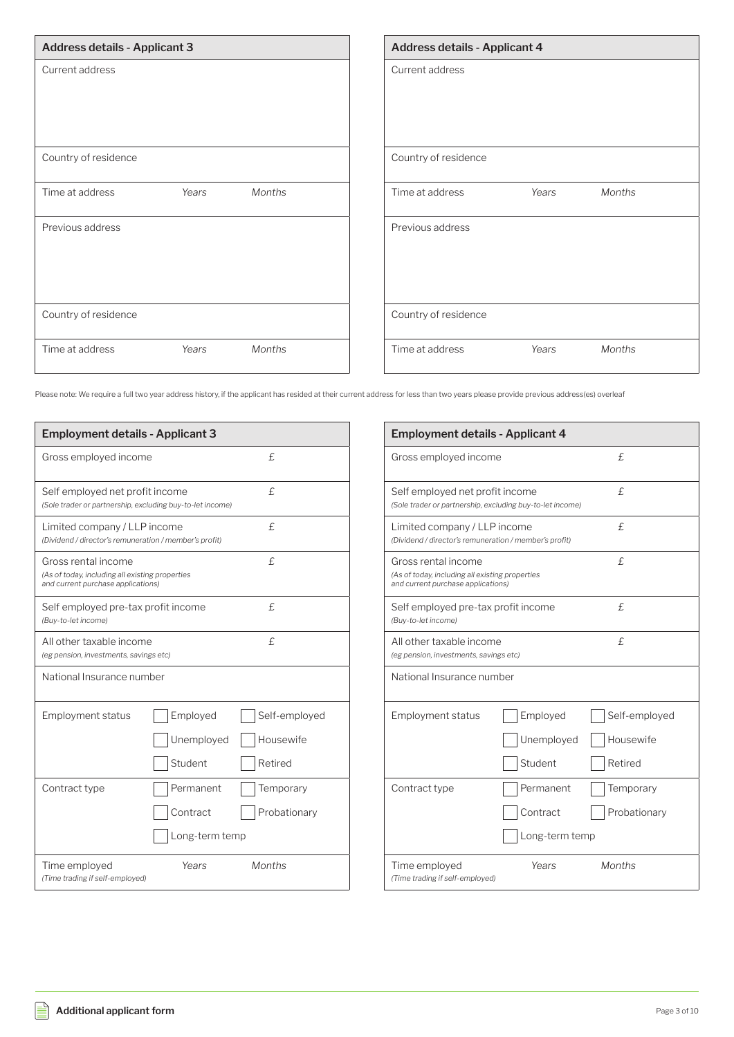| <b>Address details - Applicant 3</b>      | <b>Address details - Applicant 4</b>      |
|-------------------------------------------|-------------------------------------------|
| Current address                           | Current address                           |
| Country of residence                      | Country of residence                      |
| Time at address<br>Years<br><b>Months</b> | Time at address<br><b>Months</b><br>Years |
| Previous address                          | Previous address                          |
| Country of residence                      | Country of residence                      |
| Time at address<br>Months<br>Years        | Months<br>Time at address<br>Years        |

Please note: We require a full two year address history, if the applicant has resided at their current address for less than two years please provide previous address(es) overleaf

Ē

| <b>Employment details - Applicant 3</b>                                                                      |                                         |                                       |
|--------------------------------------------------------------------------------------------------------------|-----------------------------------------|---------------------------------------|
| Gross employed income                                                                                        |                                         | £.                                    |
| Self employed net profit income<br>(Sole trader or partnership, excluding buy-to-let income)                 |                                         | £.                                    |
| Limited company / LLP income<br>(Dividend / director's remuneration / member's profit)                       |                                         | £.                                    |
| Gross rental income<br>(As of today, including all existing properties<br>and current purchase applications) |                                         | £                                     |
| Self employed pre-tax profit income<br>(Buy-to-let income)                                                   |                                         | £.                                    |
| All other taxable income<br>(eg pension, investments, savings etc)                                           |                                         | £.                                    |
| National Insurance number                                                                                    |                                         |                                       |
| <b>Employment status</b>                                                                                     | Employed<br>Unemployed<br>Student       | Self-employed<br>Housewife<br>Retired |
| Contract type                                                                                                | Permanent<br>Contract<br>Long-term temp | Temporary<br>Probationary             |
| Time employed<br>(Time trading if self-employed)                                                             | Years                                   | <b>Months</b>                         |

| <b>Employment details - Applicant 4</b>                                                                      |                                         |                                       |
|--------------------------------------------------------------------------------------------------------------|-----------------------------------------|---------------------------------------|
| Gross employed income                                                                                        |                                         | £.                                    |
| Self employed net profit income<br>(Sole trader or partnership, excluding buy-to-let income)                 |                                         | £.                                    |
| Limited company / LLP income<br>(Dividend / director's remuneration / member's profit)                       |                                         | £.                                    |
| Gross rental income<br>(As of today, including all existing properties<br>and current purchase applications) |                                         | £.                                    |
| Self employed pre-tax profit income<br>(Buy-to-let income)                                                   |                                         | £.                                    |
| All other taxable income<br>(eg pension, investments, savings etc)                                           |                                         | £                                     |
| National Insurance number                                                                                    |                                         |                                       |
| <b>Employment status</b>                                                                                     | Employed<br>Unemployed<br>Student       | Self-employed<br>Housewife<br>Retired |
| Contract type                                                                                                | Permanent<br>Contract<br>Long-term temp | Temporary<br>Probationary             |
| Time employed<br>(Time trading if self-employed)                                                             | Years                                   | <b>Months</b>                         |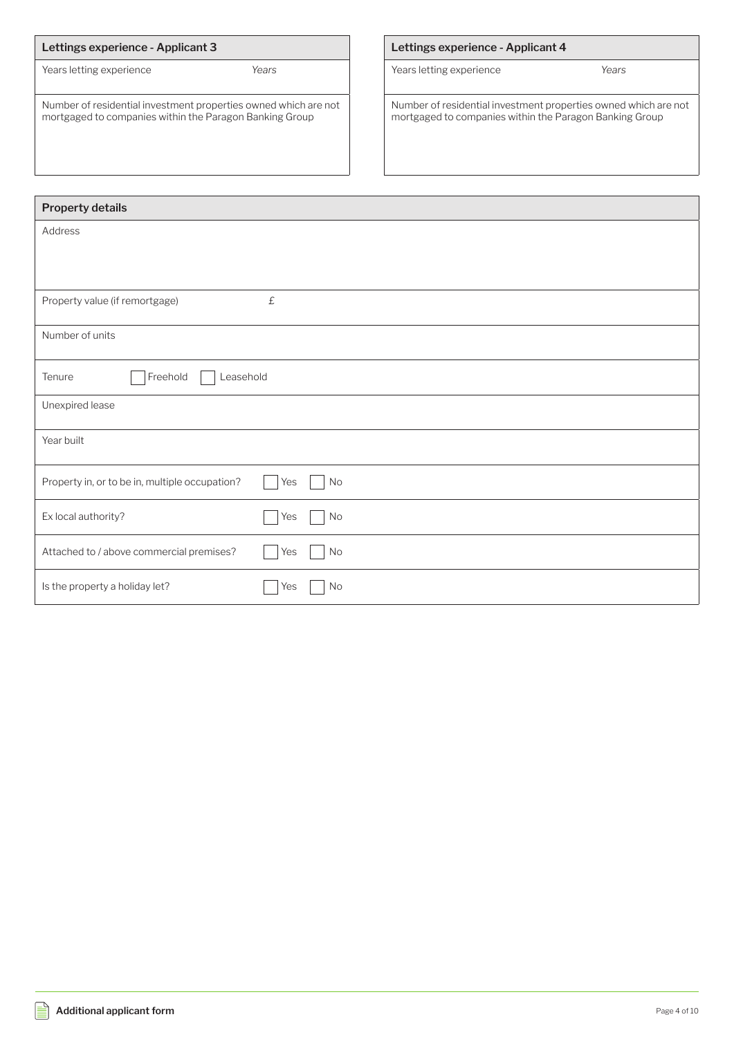| Lettings experience - Applicant 3                                                                                          |       |
|----------------------------------------------------------------------------------------------------------------------------|-------|
| Years letting experience                                                                                                   | Years |
| Number of residential investment properties owned which are not<br>mortgaged to companies within the Paragon Banking Group |       |

### **Lettings experience - Applicant 4**

Years letting experience *Years*

Number of residential investment properties owned which are not mortgaged to companies within the Paragon Banking Group

| Property details                               |           |
|------------------------------------------------|-----------|
| Address                                        |           |
|                                                |           |
|                                                |           |
| Property value (if remortgage)                 | $\pounds$ |
| Number of units                                |           |
| Freehold<br>Leasehold<br>Tenure                |           |
| Unexpired lease                                |           |
| Year built                                     |           |
| Property in, or to be in, multiple occupation? | Yes<br>No |
| Ex local authority?                            | Yes<br>No |
| Attached to / above commercial premises?       | Yes<br>No |
| Is the property a holiday let?                 | Yes<br>No |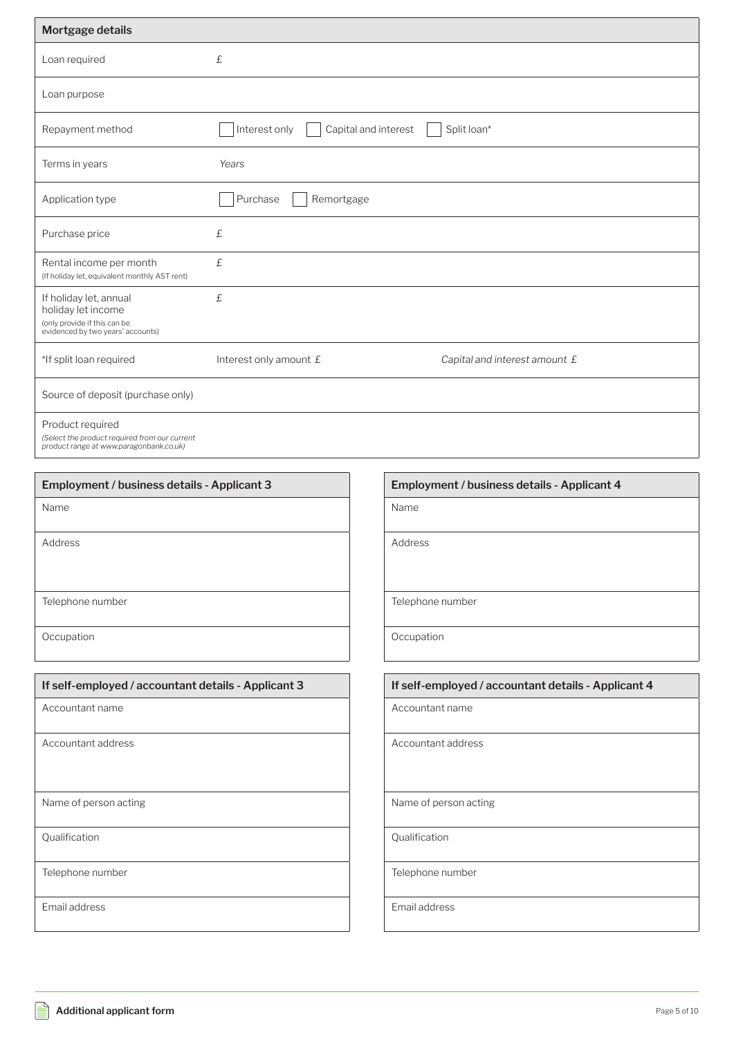| Mortgage details                                                                                                  |                                       |                               |
|-------------------------------------------------------------------------------------------------------------------|---------------------------------------|-------------------------------|
| Loan required                                                                                                     | £                                     |                               |
| Loan purpose                                                                                                      |                                       |                               |
| Repayment method                                                                                                  | Interest only<br>Capital and interest | Split loan*                   |
| Terms in years                                                                                                    | Years                                 |                               |
| Application type                                                                                                  | Purchase<br>Remortgage                |                               |
| Purchase price                                                                                                    | £                                     |                               |
| Rental income per month<br>(If holiday let, equivalent monthly AST rent)                                          | £                                     |                               |
| If holiday let, annual<br>holiday let income<br>(only provide if this can be<br>evidenced by two years' accounts) | £                                     |                               |
| *If split loan required                                                                                           | Interest only amount £                | Capital and interest amount £ |
| Source of deposit (purchase only)                                                                                 |                                       |                               |
| Product required<br>(Select the product required from our current<br>product range at www.paragonbank.co.uk)      |                                       |                               |

| Employment / business details - Applicant 3         | Employment / business details - Applicant 4         |
|-----------------------------------------------------|-----------------------------------------------------|
| Name                                                | Name                                                |
| Address                                             | Address                                             |
| Telephone number                                    | Telephone number                                    |
| Occupation                                          | Occupation                                          |
| If self-employed / accountant details - Applicant 3 | If self-employed / accountant details - Applicant 4 |
| Accountant name                                     | Accountant name                                     |
| Accountant address                                  | Accountant address                                  |
| Name of person acting                               | Name of person acting                               |
| Qualification                                       | Qualification                                       |
|                                                     |                                                     |
| Telephone number                                    | Telephone number                                    |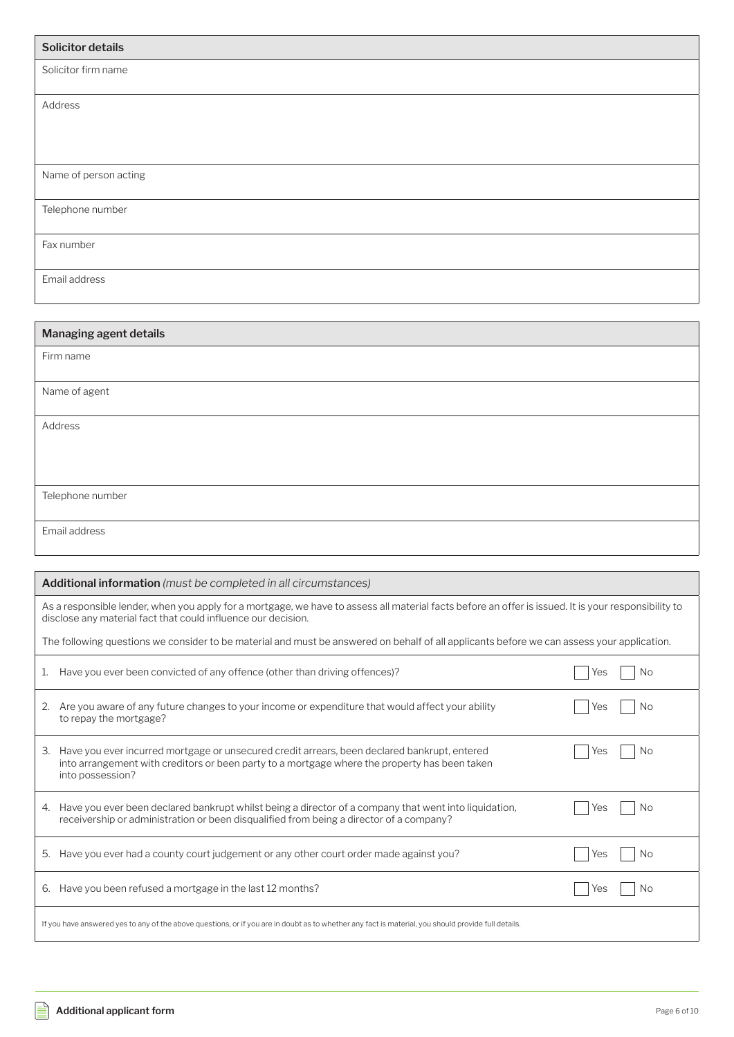| <b>Solicitor details</b> |
|--------------------------|
| Solicitor firm name      |
| Address                  |
| Name of person acting    |
| Telephone number         |
| Fax number               |
| Email address            |

| Managing agent details |
|------------------------|
| Firm name              |
|                        |
| Name of agent          |
|                        |
| Address                |
|                        |
|                        |
|                        |
| Telephone number       |
|                        |
| Email address          |
|                        |

| <b>Additional information</b> (must be completed in all circumstances)                                                                                                                                                  |            |  |  |  |  |
|-------------------------------------------------------------------------------------------------------------------------------------------------------------------------------------------------------------------------|------------|--|--|--|--|
| As a responsible lender, when you apply for a mortgage, we have to assess all material facts before an offer is issued. It is your responsibility to<br>disclose any material fact that could influence our decision.   |            |  |  |  |  |
| The following questions we consider to be material and must be answered on behalf of all applicants before we can assess your application.                                                                              |            |  |  |  |  |
| Have you ever been convicted of any offence (other than driving offences)?<br>1.                                                                                                                                        | No.<br>Yes |  |  |  |  |
| Are you aware of any future changes to your income or expenditure that would affect your ability<br>2.<br>to repay the mortgage?                                                                                        | No.<br>Yes |  |  |  |  |
| Have you ever incurred mortgage or unsecured credit arrears, been declared bankrupt, entered<br>3.<br>into arrangement with creditors or been party to a mortgage where the property has been taken<br>into possession? | No<br>Yes  |  |  |  |  |
| 4. Have you ever been declared bankrupt whilst being a director of a company that went into liquidation,<br>receivership or administration or been disqualified from being a director of a company?                     | Yes<br>No  |  |  |  |  |
| Have you ever had a county court judgement or any other court order made against you?<br>5.                                                                                                                             | No.<br>Yes |  |  |  |  |
| Have you been refused a mortgage in the last 12 months?<br>6.                                                                                                                                                           | No<br>Yes  |  |  |  |  |
| If you have answered yes to any of the above questions, or if you are in doubt as to whether any fact is material, you should provide full details.                                                                     |            |  |  |  |  |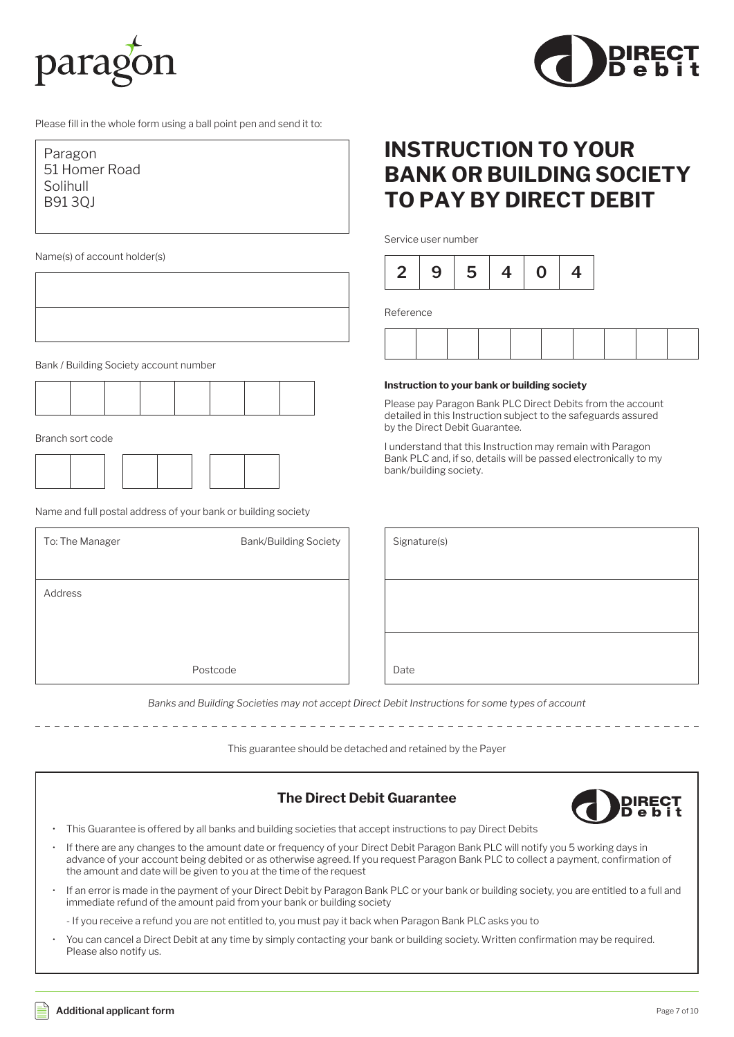



Please fill in the whole form using a ball point pen and send it to:

| Paragon       |
|---------------|
| 51 Homer Road |
| Solihull      |
| B9130J        |
|               |

Name(s) of account holder(s)

Bank / Building Society account number



Branch sort code

Name and full postal address of your bank or building society

| To: The Manager | <b>Bank/Building Society</b> | Signature(s) |
|-----------------|------------------------------|--------------|
| Address         |                              |              |
|                 |                              |              |
|                 | Postcode                     | Date         |

# **INSTRUCTION TO YOUR BANK OR BUILDING SOCIETY TO PAY BY DIRECT DEBIT**

Service user number



Reference

#### **Instruction to your bank or building society**

Please pay Paragon Bank PLC Direct Debits from the account detailed in this Instruction subject to the safeguards assured by the Direct Debit Guarantee.

I understand that this Instruction may remain with Paragon Bank PLC and, if so, details will be passed electronically to my bank/building society.

| Signature(s) |  |  |  |
|--------------|--|--|--|
|              |  |  |  |
|              |  |  |  |
|              |  |  |  |
|              |  |  |  |
| Date         |  |  |  |

*Banks and Building Societies may not accept Direct Debit Instructions for some types of account*

This guarantee should be detached and retained by the Payer

### **The Direct Debit Guarantee DIREC** e b • This Guarantee is offered by all banks and building societies that accept instructions to pay Direct Debits • If there are any changes to the amount date or frequency of your Direct Debit Paragon Bank PLC will notify you 5 working days in advance of your account being debited or as otherwise agreed. If you request Paragon Bank PLC to collect a payment, confirmation of the amount and date will be given to you at the time of the request • If an error is made in the payment of your Direct Debit by Paragon Bank PLC or your bank or building society, you are entitled to a full and immediate refund of the amount paid from your bank or building society - If you receive a refund you are not entitled to, you must pay it back when Paragon Bank PLC asks you to • You can cancel a Direct Debit at any time by simply contacting your bank or building society. Written confirmation may be required. Please also notify us.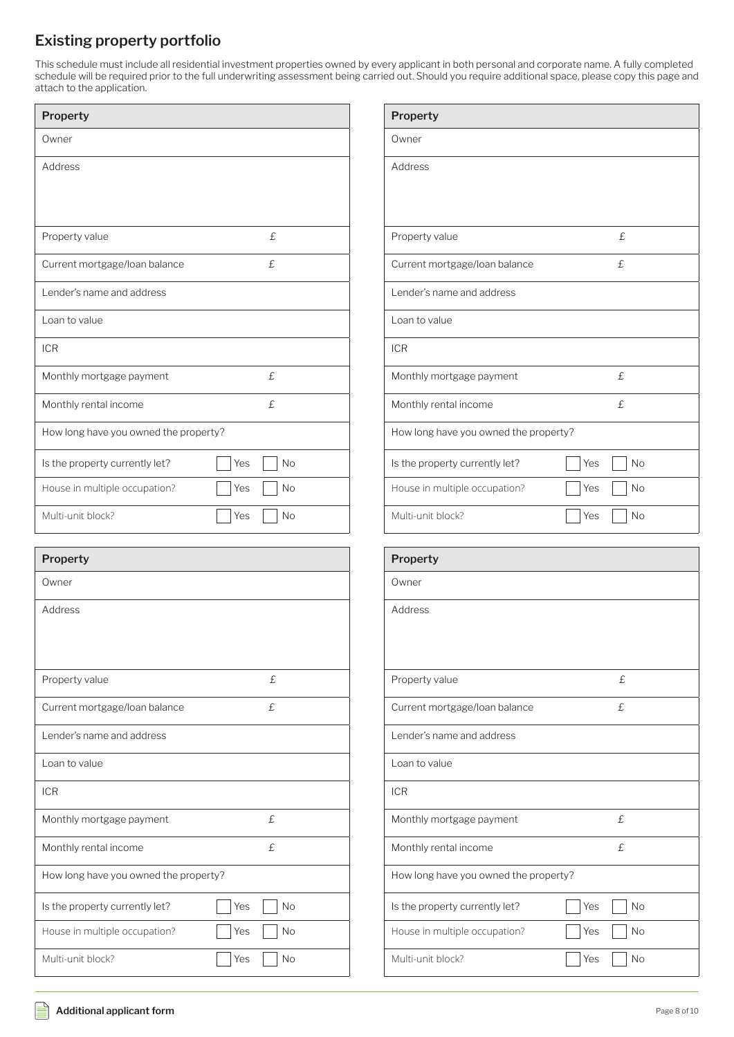### **Existing property portfolio**

This schedule must include all residential investment properties owned by every applicant in both personal and corporate name. A fully completed schedule will be required prior to the full underwriting assessment being carried out. Should you require additional space, please copy this page and attach to the application.

| <b>Property</b>                       |           |
|---------------------------------------|-----------|
| Owner                                 |           |
| Address                               |           |
|                                       |           |
|                                       |           |
| Property value                        | £         |
| Current mortgage/loan balance         | £         |
| Lender's name and address             |           |
| Loan to value                         |           |
| <b>ICR</b>                            |           |
| Monthly mortgage payment              | £.        |
| Monthly rental income                 | £         |
| How long have you owned the property? |           |
| Is the property currently let?        | Yes<br>No |
| House in multiple occupation?         | Yes<br>No |
| Multi-unit block?                     | No<br>Yes |

| Property                              |                  |
|---------------------------------------|------------------|
| Owner                                 |                  |
| Address                               |                  |
|                                       |                  |
|                                       |                  |
| Property value                        | £                |
| Current mortgage/loan balance         | £.               |
| Lender's name and address             |                  |
| Loan to value                         |                  |
| <b>ICR</b>                            |                  |
| Monthly mortgage payment              | £                |
| Monthly rental income                 | £.               |
| How long have you owned the property? |                  |
| Is the property currently let?        | Yes<br><b>No</b> |
| House in multiple occupation?         | Yes<br><b>No</b> |
| Multi-unit block?                     | Yes<br><b>No</b> |
|                                       |                  |

| Property                              |                  |
|---------------------------------------|------------------|
| Owner                                 |                  |
| Address                               |                  |
|                                       |                  |
|                                       |                  |
| Property value                        | £                |
| Current mortgage/loan balance         | £                |
| Lender's name and address             |                  |
| Loan to value                         |                  |
| <b>ICR</b>                            |                  |
| Monthly mortgage payment              | £                |
| Monthly rental income                 | £                |
| How long have you owned the property? |                  |
| Is the property currently let?        | Yes<br><b>No</b> |
| House in multiple occupation?         | Yes<br>No        |
| Multi-unit block?                     | Yes<br>No        |

| <b>Property</b>                       |                  |
|---------------------------------------|------------------|
| Owner                                 |                  |
| Address                               |                  |
|                                       |                  |
|                                       |                  |
| Property value                        | £                |
| Current mortgage/loan balance         | £                |
| Lender's name and address             |                  |
| Loan to value                         |                  |
| <b>ICR</b>                            |                  |
| Monthly mortgage payment              | £                |
| Monthly rental income                 | £                |
| How long have you owned the property? |                  |
| Is the property currently let?        | Yes<br><b>No</b> |
| House in multiple occupation?         | Yes<br>No        |
| Multi-unit block?                     | <b>No</b><br>Yes |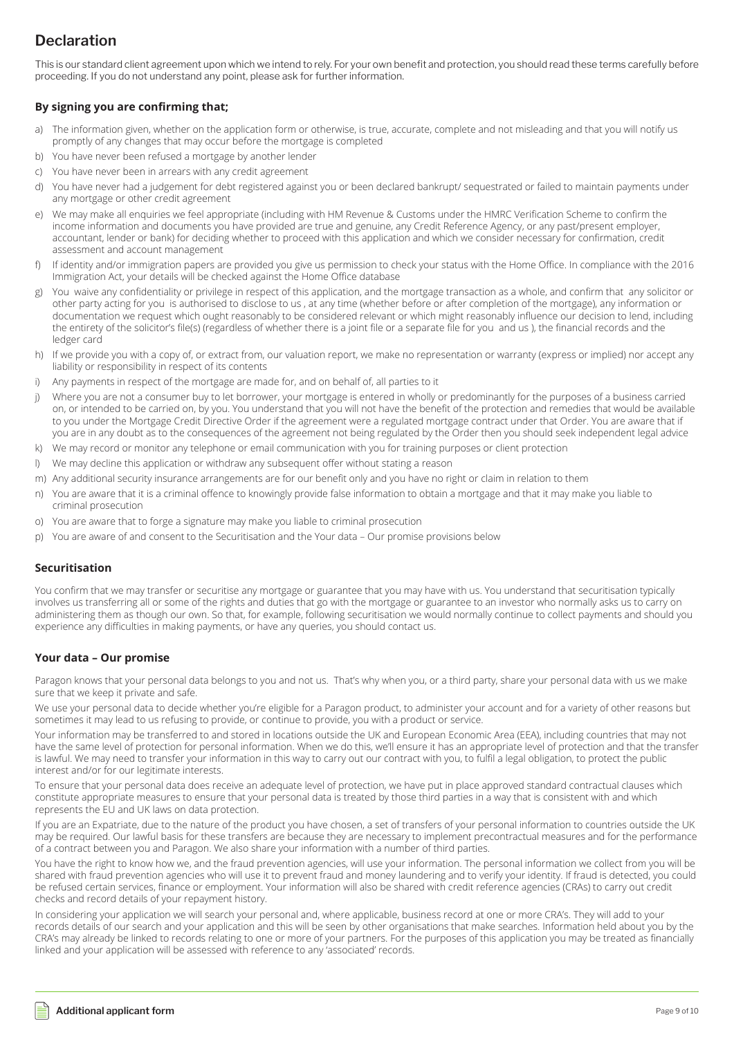## **Declaration**

This is our standard client agreement upon which we intend to rely. For your own benefit and protection, you should read these terms carefully before proceeding. If you do not understand any point, please ask for further information.

### **By signing you are confirming that;**

- a) The information given, whether on the application form or otherwise, is true, accurate, complete and not misleading and that you will notify us promptly of any changes that may occur before the mortgage is completed
- b) You have never been refused a mortgage by another lender
- c) You have never been in arrears with any credit agreement
- d) You have never had a judgement for debt registered against you or been declared bankrupt/ sequestrated or failed to maintain payments under any mortgage or other credit agreement
- e) We may make all enquiries we feel appropriate (including with HM Revenue & Customs under the HMRC Verification Scheme to confirm the income information and documents you have provided are true and genuine, any Credit Reference Agency, or any past/present employer, accountant, lender or bank) for deciding whether to proceed with this application and which we consider necessary for confirmation, credit assessment and account management
- f) If identity and/or immigration papers are provided you give us permission to check your status with the Home Office. In compliance with the 2016 Immigration Act, your details will be checked against the Home Office database
- g) You waive any confidentiality or privilege in respect of this application, and the mortgage transaction as a whole, and confirm that any solicitor or other party acting for you is authorised to disclose to us , at any time (whether before or after completion of the mortgage), any information or documentation we request which ought reasonably to be considered relevant or which might reasonably influence our decision to lend, including the entirety of the solicitor's file(s) (regardless of whether there is a joint file or a separate file for you and us ), the financial records and the ledger card
- h) If we provide you with a copy of, or extract from, our valuation report, we make no representation or warranty (express or implied) nor accept any liability or responsibility in respect of its contents
- i) Any payments in respect of the mortgage are made for, and on behalf of, all parties to it
- j) Where you are not a consumer buy to let borrower, your mortgage is entered in wholly or predominantly for the purposes of a business carried on, or intended to be carried on, by you. You understand that you will not have the benefit of the protection and remedies that would be available to you under the Mortgage Credit Directive Order if the agreement were a regulated mortgage contract under that Order. You are aware that if you are in any doubt as to the consequences of the agreement not being regulated by the Order then you should seek independent legal advice
- k) We may record or monitor any telephone or email communication with you for training purposes or client protection
- l) We may decline this application or withdraw any subsequent offer without stating a reason
- m) Any additional security insurance arrangements are for our benefit only and you have no right or claim in relation to them
- n) You are aware that it is a criminal offence to knowingly provide false information to obtain a mortgage and that it may make you liable to criminal prosecution
- o) You are aware that to forge a signature may make you liable to criminal prosecution
- p) You are aware of and consent to the Securitisation and the Your data Our promise provisions below

### **Securitisation**

You confirm that we may transfer or securitise any mortgage or guarantee that you may have with us. You understand that securitisation typically involves us transferring all or some of the rights and duties that go with the mortgage or guarantee to an investor who normally asks us to carry on administering them as though our own. So that, for example, following securitisation we would normally continue to collect payments and should you experience any difficulties in making payments, or have any queries, you should contact us.

### **Your data – Our promise**

Paragon knows that your personal data belongs to you and not us. That's why when you, or a third party, share your personal data with us we make sure that we keep it private and safe.

We use your personal data to decide whether you're eligible for a Paragon product, to administer your account and for a variety of other reasons but sometimes it may lead to us refusing to provide, or continue to provide, you with a product or service.

Your information may be transferred to and stored in locations outside the UK and European Economic Area (EEA), including countries that may not have the same level of protection for personal information. When we do this, we'll ensure it has an appropriate level of protection and that the transfer is lawful. We may need to transfer your information in this way to carry out our contract with you, to fulfil a legal obligation, to protect the public interest and/or for our legitimate interests.

To ensure that your personal data does receive an adequate level of protection, we have put in place approved standard contractual clauses which constitute appropriate measures to ensure that your personal data is treated by those third parties in a way that is consistent with and which represents the EU and UK laws on data protection.

If you are an Expatriate, due to the nature of the product you have chosen, a set of transfers of your personal information to countries outside the UK may be required. Our lawful basis for these transfers are because they are necessary to implement precontractual measures and for the performance of a contract between you and Paragon. We also share your information with a number of third parties.

You have the right to know how we, and the fraud prevention agencies, will use your information. The personal information we collect from you will be shared with fraud prevention agencies who will use it to prevent fraud and money laundering and to verify your identity. If fraud is detected, you could be refused certain services, finance or employment. Your information will also be shared with credit reference agencies (CRAs) to carry out credit checks and record details of your repayment history.

In considering your application we will search your personal and, where applicable, business record at one or more CRA's. They will add to your records details of our search and your application and this will be seen by other organisations that make searches. Information held about you by the CRA's may already be linked to records relating to one or more of your partners. For the purposes of this application you may be treated as financially linked and your application will be assessed with reference to any 'associated' records.